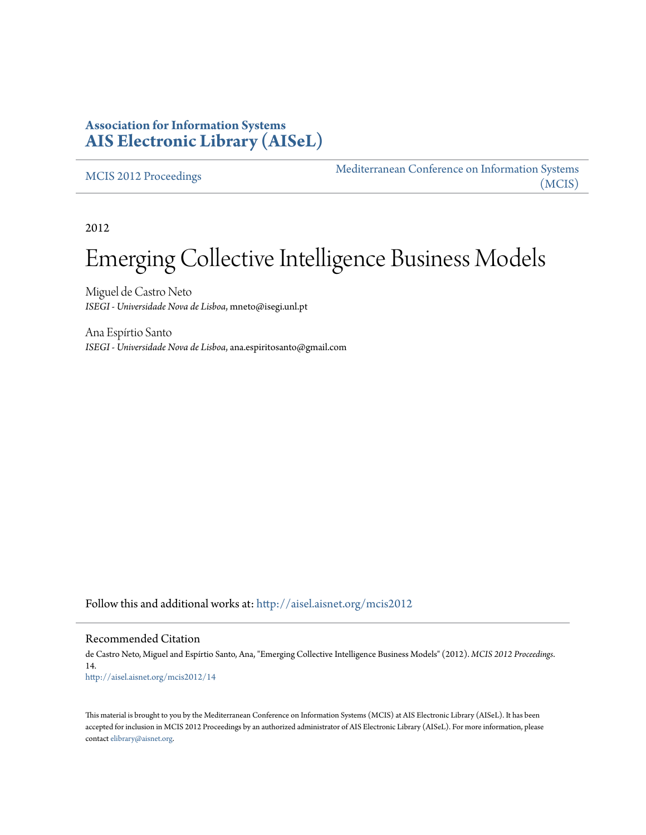## **Association for Information Systems [AIS Electronic Library \(AISeL\)](http://aisel.aisnet.org?utm_source=aisel.aisnet.org%2Fmcis2012%2F14&utm_medium=PDF&utm_campaign=PDFCoverPages)**

[MCIS 2012 Proceedings](http://aisel.aisnet.org/mcis2012?utm_source=aisel.aisnet.org%2Fmcis2012%2F14&utm_medium=PDF&utm_campaign=PDFCoverPages)

[Mediterranean Conference on Information Systems](http://aisel.aisnet.org/mcis?utm_source=aisel.aisnet.org%2Fmcis2012%2F14&utm_medium=PDF&utm_campaign=PDFCoverPages) [\(MCIS\)](http://aisel.aisnet.org/mcis?utm_source=aisel.aisnet.org%2Fmcis2012%2F14&utm_medium=PDF&utm_campaign=PDFCoverPages)

2012

# Emerging Collective Intelligence Business Models

Miguel de Castro Neto *ISEGI - Universidade Nova de Lisboa*, mneto@isegi.unl.pt

Ana Espírtio Santo *ISEGI - Universidade Nova de Lisboa*, ana.espiritosanto@gmail.com

Follow this and additional works at: [http://aisel.aisnet.org/mcis2012](http://aisel.aisnet.org/mcis2012?utm_source=aisel.aisnet.org%2Fmcis2012%2F14&utm_medium=PDF&utm_campaign=PDFCoverPages)

#### Recommended Citation

de Castro Neto, Miguel and Espírtio Santo, Ana, "Emerging Collective Intelligence Business Models" (2012). *MCIS 2012 Proceedings*. 14. [http://aisel.aisnet.org/mcis2012/14](http://aisel.aisnet.org/mcis2012/14?utm_source=aisel.aisnet.org%2Fmcis2012%2F14&utm_medium=PDF&utm_campaign=PDFCoverPages)

This material is brought to you by the Mediterranean Conference on Information Systems (MCIS) at AIS Electronic Library (AISeL). It has been accepted for inclusion in MCIS 2012 Proceedings by an authorized administrator of AIS Electronic Library (AISeL). For more information, please contact [elibrary@aisnet.org.](mailto:elibrary@aisnet.org%3E)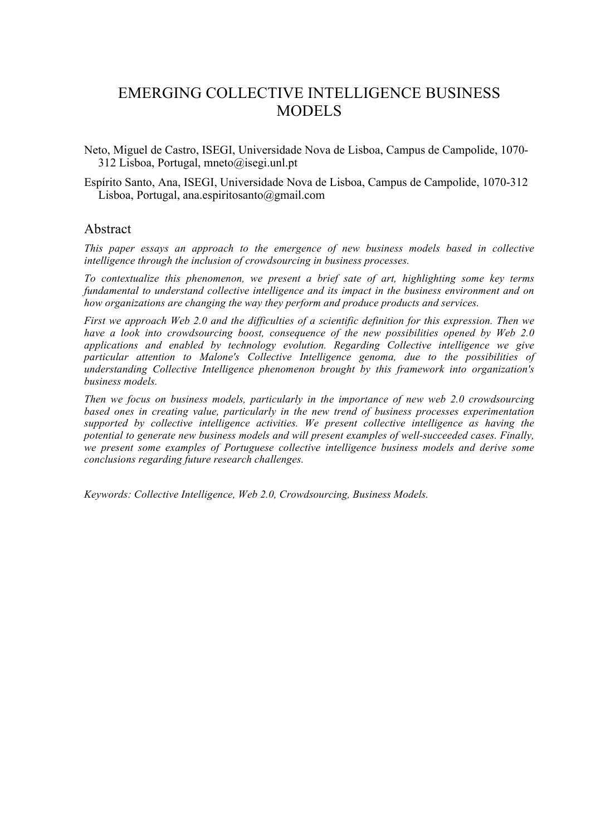## EMERGING COLLECTIVE INTELLIGENCE BUSINESS MODELS

Neto, Miguel de Castro, ISEGI, Universidade Nova de Lisboa, Campus de Campolide, 1070- 312 Lisboa, Portugal, mneto@isegi.unl.pt

Espírito Santo, Ana, ISEGI, Universidade Nova de Lisboa, Campus de Campolide, 1070-312 Lisboa, Portugal, ana.espiritosanto@gmail.com

#### Abstract

*This paper essays an approach to the emergence of new business models based in collective intelligence through the inclusion of crowdsourcing in business processes.*

*To contextualize this phenomenon, we present a brief sate of art, highlighting some key terms fundamental to understand collective intelligence and its impact in the business environment and on how organizations are changing the way they perform and produce products and services.*

*First we approach Web 2.0 and the difficulties of a scientific definition for this expression. Then we have a look into crowdsourcing boost, consequence of the new possibilities opened by Web 2.0 applications and enabled by technology evolution. Regarding Collective intelligence we give particular attention to Malone's Collective Intelligence genoma, due to the possibilities of understanding Collective Intelligence phenomenon brought by this framework into organization's business models.* 

*Then we focus on business models, particularly in the importance of new web 2.0 crowdsourcing based ones in creating value, particularly in the new trend of business processes experimentation supported by collective intelligence activities. We present collective intelligence as having the potential to generate new business models and will present examples of well-succeeded cases. Finally, we present some examples of Portuguese collective intelligence business models and derive some conclusions regarding future research challenges.*

*Keywords: Collective Intelligence, Web 2.0, Crowdsourcing, Business Models.*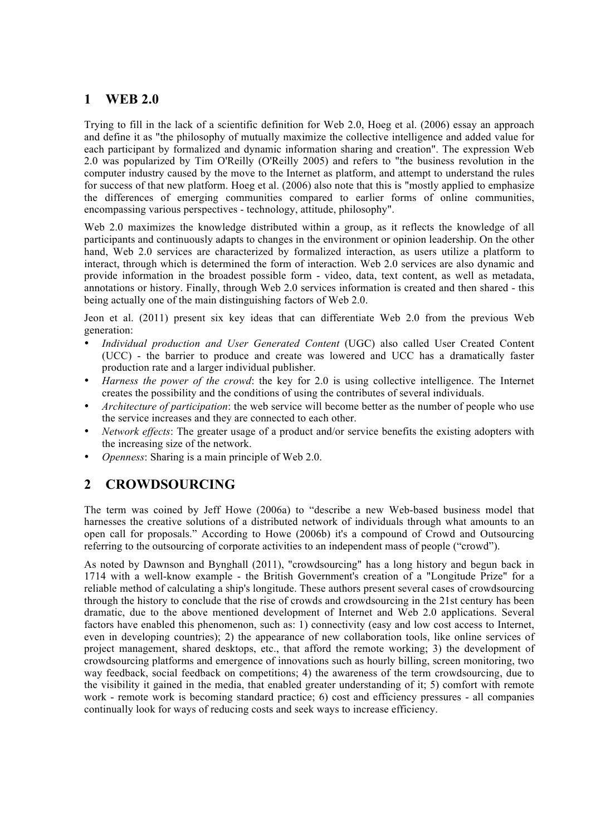## **1 WEB 2.0**

Trying to fill in the lack of a scientific definition for Web 2.0, Hoeg et al. (2006) essay an approach and define it as "the philosophy of mutually maximize the collective intelligence and added value for each participant by formalized and dynamic information sharing and creation". The expression Web 2.0 was popularized by Tim O'Reilly (O'Reilly 2005) and refers to "the business revolution in the computer industry caused by the move to the Internet as platform, and attempt to understand the rules for success of that new platform. Hoeg et al. (2006) also note that this is "mostly applied to emphasize the differences of emerging communities compared to earlier forms of online communities, encompassing various perspectives - technology, attitude, philosophy".

Web 2.0 maximizes the knowledge distributed within a group, as it reflects the knowledge of all participants and continuously adapts to changes in the environment or opinion leadership. On the other hand, Web 2.0 services are characterized by formalized interaction, as users utilize a platform to interact, through which is determined the form of interaction. Web 2.0 services are also dynamic and provide information in the broadest possible form - video, data, text content, as well as metadata, annotations or history. Finally, through Web 2.0 services information is created and then shared - this being actually one of the main distinguishing factors of Web 2.0.

Jeon et al. (2011) present six key ideas that can differentiate Web 2.0 from the previous Web generation:

- *Individual production and User Generated Content* (UGC) also called User Created Content (UCC) - the barrier to produce and create was lowered and UCC has a dramatically faster production rate and a larger individual publisher.
- *Harness the power of the crowd*: the key for 2.0 is using collective intelligence. The Internet creates the possibility and the conditions of using the contributes of several individuals.
- *Architecture of participation*: the web service will become better as the number of people who use the service increases and they are connected to each other.
- *Network effects*: The greater usage of a product and/or service benefits the existing adopters with the increasing size of the network.
- *Openness*: Sharing is a main principle of Web 2.0.

## **2 CROWDSOURCING**

The term was coined by Jeff Howe (2006a) to "describe a new Web-based business model that harnesses the creative solutions of a distributed network of individuals through what amounts to an open call for proposals." According to Howe (2006b) it's a compound of Crowd and Outsourcing referring to the outsourcing of corporate activities to an independent mass of people ("crowd").

As noted by Dawnson and Bynghall (2011), "crowdsourcing" has a long history and begun back in 1714 with a well-know example - the British Government's creation of a "Longitude Prize" for a reliable method of calculating a ship's longitude. These authors present several cases of crowdsourcing through the history to conclude that the rise of crowds and crowdsourcing in the 21st century has been dramatic, due to the above mentioned development of Internet and Web 2.0 applications. Several factors have enabled this phenomenon, such as: 1) connectivity (easy and low cost access to Internet, even in developing countries); 2) the appearance of new collaboration tools, like online services of project management, shared desktops, etc., that afford the remote working; 3) the development of crowdsourcing platforms and emergence of innovations such as hourly billing, screen monitoring, two way feedback, social feedback on competitions; 4) the awareness of the term crowdsourcing, due to the visibility it gained in the media, that enabled greater understanding of it; 5) comfort with remote work - remote work is becoming standard practice; 6) cost and efficiency pressures - all companies continually look for ways of reducing costs and seek ways to increase efficiency.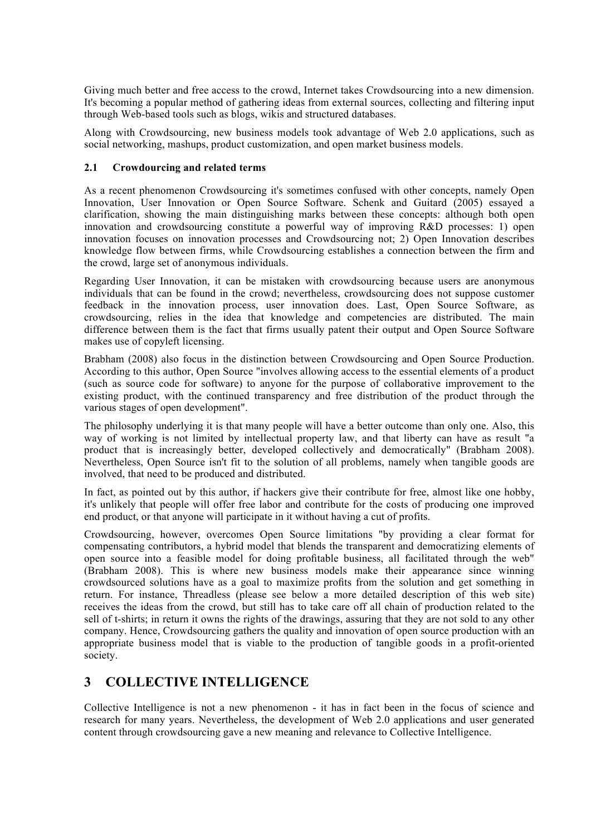Giving much better and free access to the crowd, Internet takes Crowdsourcing into a new dimension. It's becoming a popular method of gathering ideas from external sources, collecting and filtering input through Web-based tools such as blogs, wikis and structured databases.

Along with Crowdsourcing, new business models took advantage of Web 2.0 applications, such as social networking, mashups, product customization, and open market business models.

#### **2.1 Crowdourcing and related terms**

As a recent phenomenon Crowdsourcing it's sometimes confused with other concepts, namely Open Innovation, User Innovation or Open Source Software. Schenk and Guitard (2005) essayed a clarification, showing the main distinguishing marks between these concepts: although both open innovation and crowdsourcing constitute a powerful way of improving R&D processes: 1) open innovation focuses on innovation processes and Crowdsourcing not; 2) Open Innovation describes knowledge flow between firms, while Crowdsourcing establishes a connection between the firm and the crowd, large set of anonymous individuals.

Regarding User Innovation, it can be mistaken with crowdsourcing because users are anonymous individuals that can be found in the crowd; nevertheless, crowdsourcing does not suppose customer feedback in the innovation process, user innovation does. Last, Open Source Software, as crowdsourcing, relies in the idea that knowledge and competencies are distributed. The main difference between them is the fact that firms usually patent their output and Open Source Software makes use of copyleft licensing.

Brabham (2008) also focus in the distinction between Crowdsourcing and Open Source Production. According to this author, Open Source "involves allowing access to the essential elements of a product (such as source code for software) to anyone for the purpose of collaborative improvement to the existing product, with the continued transparency and free distribution of the product through the various stages of open development".

The philosophy underlying it is that many people will have a better outcome than only one. Also, this way of working is not limited by intellectual property law, and that liberty can have as result "a product that is increasingly better, developed collectively and democratically" (Brabham 2008). Nevertheless, Open Source isn't fit to the solution of all problems, namely when tangible goods are involved, that need to be produced and distributed.

In fact, as pointed out by this author, if hackers give their contribute for free, almost like one hobby, it's unlikely that people will offer free labor and contribute for the costs of producing one improved end product, or that anyone will participate in it without having a cut of profits.

Crowdsourcing, however, overcomes Open Source limitations "by providing a clear format for compensating contributors, a hybrid model that blends the transparent and democratizing elements of open source into a feasible model for doing profitable business, all facilitated through the web" (Brabham 2008). This is where new business models make their appearance since winning crowdsourced solutions have as a goal to maximize profits from the solution and get something in return. For instance, Threadless (please see below a more detailed description of this web site) receives the ideas from the crowd, but still has to take care off all chain of production related to the sell of t-shirts; in return it owns the rights of the drawings, assuring that they are not sold to any other company. Hence, Crowdsourcing gathers the quality and innovation of open source production with an appropriate business model that is viable to the production of tangible goods in a profit-oriented society.

## **3 COLLECTIVE INTELLIGENCE**

Collective Intelligence is not a new phenomenon - it has in fact been in the focus of science and research for many years. Nevertheless, the development of Web 2.0 applications and user generated content through crowdsourcing gave a new meaning and relevance to Collective Intelligence.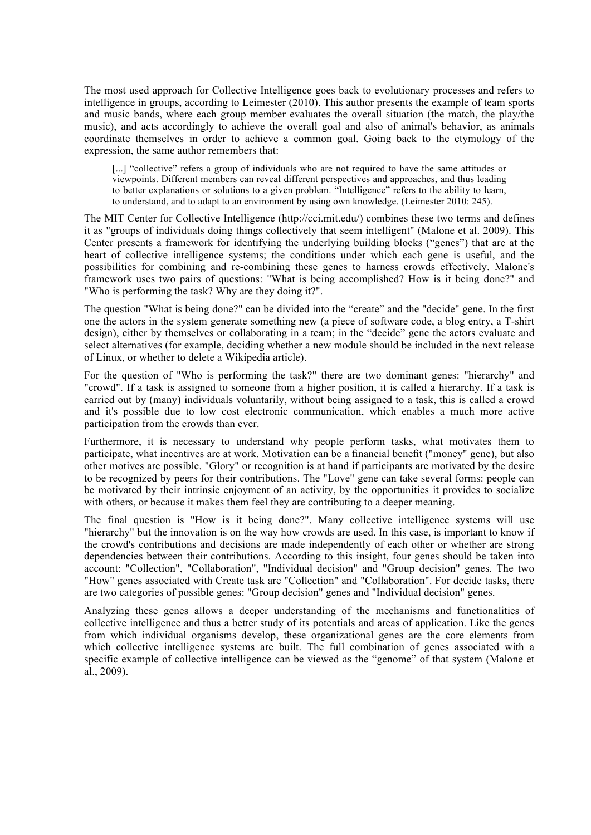The most used approach for Collective Intelligence goes back to evolutionary processes and refers to intelligence in groups, according to Leimester (2010). This author presents the example of team sports and music bands, where each group member evaluates the overall situation (the match, the play/the music), and acts accordingly to achieve the overall goal and also of animal's behavior, as animals coordinate themselves in order to achieve a common goal. Going back to the etymology of the expression, the same author remembers that:

[...] "collective" refers a group of individuals who are not required to have the same attitudes or viewpoints. Different members can reveal different perspectives and approaches, and thus leading to better explanations or solutions to a given problem. "Intelligence" refers to the ability to learn, to understand, and to adapt to an environment by using own knowledge. (Leimester 2010: 245).

The MIT Center for Collective Intelligence (http://cci.mit.edu/) combines these two terms and defines it as "groups of individuals doing things collectively that seem intelligent" (Malone et al. 2009). This Center presents a framework for identifying the underlying building blocks ("genes") that are at the heart of collective intelligence systems; the conditions under which each gene is useful, and the possibilities for combining and re-combining these genes to harness crowds effectively. Malone's framework uses two pairs of questions: "What is being accomplished? How is it being done?" and "Who is performing the task? Why are they doing it?".

The question "What is being done?" can be divided into the "create" and the "decide" gene. In the first one the actors in the system generate something new (a piece of software code, a blog entry, a T-shirt design), either by themselves or collaborating in a team; in the "decide" gene the actors evaluate and select alternatives (for example, deciding whether a new module should be included in the next release of Linux, or whether to delete a Wikipedia article).

For the question of "Who is performing the task?" there are two dominant genes: "hierarchy" and "crowd". If a task is assigned to someone from a higher position, it is called a hierarchy. If a task is carried out by (many) individuals voluntarily, without being assigned to a task, this is called a crowd and it's possible due to low cost electronic communication, which enables a much more active participation from the crowds than ever.

Furthermore, it is necessary to understand why people perform tasks, what motivates them to participate, what incentives are at work. Motivation can be a financial benefit ("money" gene), but also other motives are possible. "Glory" or recognition is at hand if participants are motivated by the desire to be recognized by peers for their contributions. The "Love" gene can take several forms: people can be motivated by their intrinsic enjoyment of an activity, by the opportunities it provides to socialize with others, or because it makes them feel they are contributing to a deeper meaning.

The final question is "How is it being done?". Many collective intelligence systems will use "hierarchy" but the innovation is on the way how crowds are used. In this case, is important to know if the crowd's contributions and decisions are made independently of each other or whether are strong dependencies between their contributions. According to this insight, four genes should be taken into account: "Collection", "Collaboration", "Individual decision" and "Group decision" genes. The two "How" genes associated with Create task are "Collection" and "Collaboration". For decide tasks, there are two categories of possible genes: "Group decision" genes and "Individual decision" genes.

Analyzing these genes allows a deeper understanding of the mechanisms and functionalities of collective intelligence and thus a better study of its potentials and areas of application. Like the genes from which individual organisms develop, these organizational genes are the core elements from which collective intelligence systems are built. The full combination of genes associated with a specific example of collective intelligence can be viewed as the "genome" of that system (Malone et al., 2009).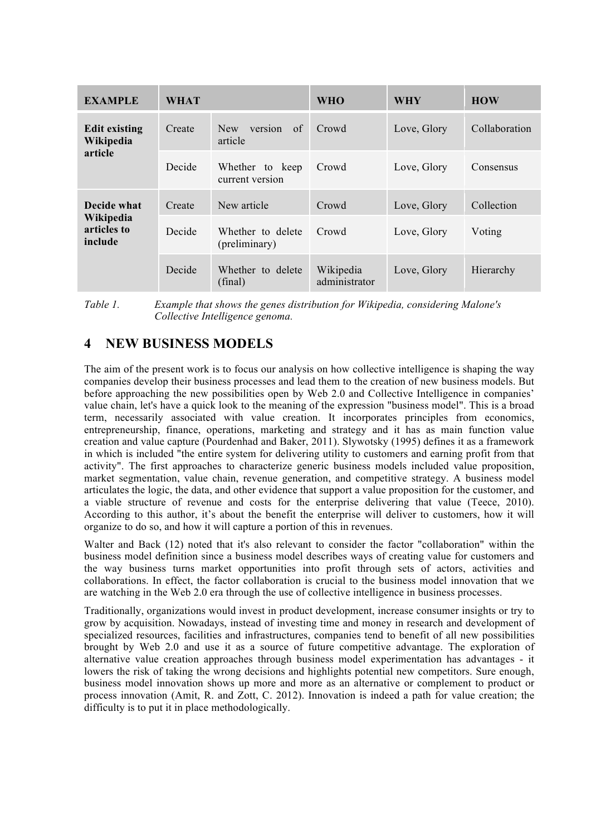| <b>EXAMPLE</b>                                     | <b>WHAT</b> |                                    | <b>WHO</b>                 | <b>WHY</b>  | <b>HOW</b>    |
|----------------------------------------------------|-------------|------------------------------------|----------------------------|-------------|---------------|
| <b>Edit existing</b><br>Wikipedia<br>article       | Create      | version of<br>New<br>article       | Crowd                      | Love, Glory | Collaboration |
|                                                    | Decide      | Whether to keep<br>current version | Crowd                      | Love, Glory | Consensus     |
| Decide what<br>Wikipedia<br>articles to<br>include | Create      | New article                        | Crowd                      | Love, Glory | Collection    |
|                                                    | Decide      | Whether to delete<br>(preliminary) | Crowd                      | Love, Glory | Voting        |
|                                                    | Decide      | Whether to delete<br>(final)       | Wikipedia<br>administrator | Love, Glory | Hierarchy     |

*Table 1. Example that shows the genes distribution for Wikipedia, considering Malone's Collective Intelligence genoma.* 

## **4 NEW BUSINESS MODELS**

The aim of the present work is to focus our analysis on how collective intelligence is shaping the way companies develop their business processes and lead them to the creation of new business models. But before approaching the new possibilities open by Web 2.0 and Collective Intelligence in companies' value chain, let's have a quick look to the meaning of the expression "business model". This is a broad term, necessarily associated with value creation. It incorporates principles from economics, entrepreneurship, finance, operations, marketing and strategy and it has as main function value creation and value capture (Pourdenhad and Baker, 2011). Slywotsky (1995) defines it as a framework in which is included "the entire system for delivering utility to customers and earning profit from that activity". The first approaches to characterize generic business models included value proposition, market segmentation, value chain, revenue generation, and competitive strategy. A business model articulates the logic, the data, and other evidence that support a value proposition for the customer, and a viable structure of revenue and costs for the enterprise delivering that value (Teece, 2010). According to this author, it's about the benefit the enterprise will deliver to customers, how it will organize to do so, and how it will capture a portion of this in revenues.

Walter and Back (12) noted that it's also relevant to consider the factor "collaboration" within the business model definition since a business model describes ways of creating value for customers and the way business turns market opportunities into profit through sets of actors, activities and collaborations. In effect, the factor collaboration is crucial to the business model innovation that we are watching in the Web 2.0 era through the use of collective intelligence in business processes.

Traditionally, organizations would invest in product development, increase consumer insights or try to grow by acquisition. Nowadays, instead of investing time and money in research and development of specialized resources, facilities and infrastructures, companies tend to benefit of all new possibilities brought by Web 2.0 and use it as a source of future competitive advantage. The exploration of alternative value creation approaches through business model experimentation has advantages - it lowers the risk of taking the wrong decisions and highlights potential new competitors. Sure enough, business model innovation shows up more and more as an alternative or complement to product or process innovation (Amit, R. and Zott, C. 2012). Innovation is indeed a path for value creation; the difficulty is to put it in place methodologically.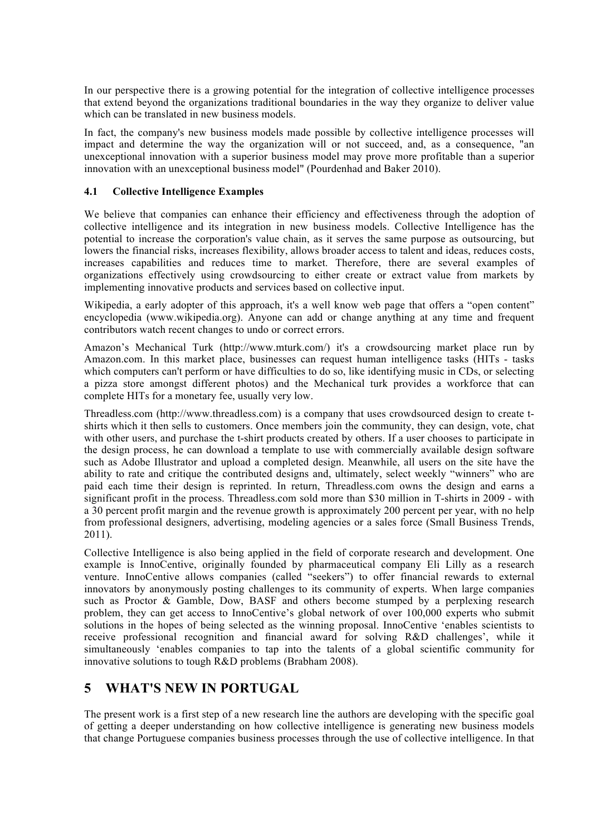In our perspective there is a growing potential for the integration of collective intelligence processes that extend beyond the organizations traditional boundaries in the way they organize to deliver value which can be translated in new business models.

In fact, the company's new business models made possible by collective intelligence processes will impact and determine the way the organization will or not succeed, and, as a consequence, "an unexceptional innovation with a superior business model may prove more profitable than a superior innovation with an unexceptional business model" (Pourdenhad and Baker 2010).

#### **4.1 Collective Intelligence Examples**

We believe that companies can enhance their efficiency and effectiveness through the adoption of collective intelligence and its integration in new business models. Collective Intelligence has the potential to increase the corporation's value chain, as it serves the same purpose as outsourcing, but lowers the financial risks, increases flexibility, allows broader access to talent and ideas, reduces costs, increases capabilities and reduces time to market. Therefore, there are several examples of organizations effectively using crowdsourcing to either create or extract value from markets by implementing innovative products and services based on collective input.

Wikipedia, a early adopter of this approach, it's a well know web page that offers a "open content" encyclopedia (www.wikipedia.org). Anyone can add or change anything at any time and frequent contributors watch recent changes to undo or correct errors.

Amazon's Mechanical Turk (http://www.mturk.com/) it's a crowdsourcing market place run by Amazon.com. In this market place, businesses can request human intelligence tasks (HITs - tasks which computers can't perform or have difficulties to do so, like identifying music in CDs, or selecting a pizza store amongst different photos) and the Mechanical turk provides a workforce that can complete HITs for a monetary fee, usually very low.

Threadless.com (http://www.threadless.com) is a company that uses crowdsourced design to create tshirts which it then sells to customers. Once members join the community, they can design, vote, chat with other users, and purchase the t-shirt products created by others. If a user chooses to participate in the design process, he can download a template to use with commercially available design software such as Adobe Illustrator and upload a completed design. Meanwhile, all users on the site have the ability to rate and critique the contributed designs and, ultimately, select weekly "winners" who are paid each time their design is reprinted. In return, Threadless.com owns the design and earns a significant profit in the process. Threadless.com sold more than \$30 million in T-shirts in 2009 - with a 30 percent profit margin and the revenue growth is approximately 200 percent per year, with no help from professional designers, advertising, modeling agencies or a sales force (Small Business Trends, 2011).

Collective Intelligence is also being applied in the field of corporate research and development. One example is InnoCentive, originally founded by pharmaceutical company Eli Lilly as a research venture. InnoCentive allows companies (called "seekers") to offer financial rewards to external innovators by anonymously posting challenges to its community of experts. When large companies such as Proctor & Gamble, Dow, BASF and others become stumped by a perplexing research problem, they can get access to InnoCentive's global network of over 100,000 experts who submit solutions in the hopes of being selected as the winning proposal. InnoCentive 'enables scientists to receive professional recognition and financial award for solving R&D challenges', while it simultaneously 'enables companies to tap into the talents of a global scientific community for innovative solutions to tough R&D problems (Brabham 2008).

## **5 WHAT'S NEW IN PORTUGAL**

The present work is a first step of a new research line the authors are developing with the specific goal of getting a deeper understanding on how collective intelligence is generating new business models that change Portuguese companies business processes through the use of collective intelligence. In that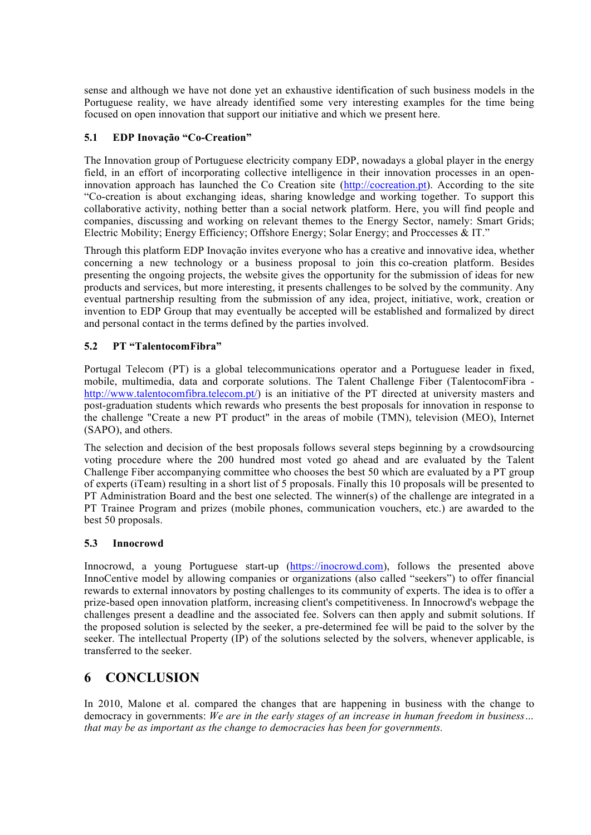sense and although we have not done yet an exhaustive identification of such business models in the Portuguese reality, we have already identified some very interesting examples for the time being focused on open innovation that support our initiative and which we present here.

#### **5.1 EDP Inovação "Co-Creation"**

The Innovation group of Portuguese electricity company EDP, nowadays a global player in the energy field, in an effort of incorporating collective intelligence in their innovation processes in an openinnovation approach has launched the Co Creation site (http://cocreation.pt). According to the site "Co-creation is about exchanging ideas, sharing knowledge and working together. To support this collaborative activity, nothing better than a social network platform. Here, you will find people and companies, discussing and working on relevant themes to the Energy Sector, namely: Smart Grids; Electric Mobility; Energy Efficiency; Offshore Energy; Solar Energy; and Proccesses & IT."

Through this platform EDP Inovação invites everyone who has a creative and innovative idea, whether concerning a new technology or a business proposal to join this co-creation platform. Besides presenting the ongoing projects, the website gives the opportunity for the submission of ideas for new products and services, but more interesting, it presents challenges to be solved by the community. Any eventual partnership resulting from the submission of any idea, project, initiative, work, creation or invention to EDP Group that may eventually be accepted will be established and formalized by direct and personal contact in the terms defined by the parties involved.

#### **5.2 PT "TalentocomFibra"**

Portugal Telecom (PT) is a global telecommunications operator and a Portuguese leader in fixed, mobile, multimedia, data and corporate solutions. The Talent Challenge Fiber (TalentocomFibra http://www.talentocomfibra.telecom.pt/) is an initiative of the PT directed at university masters and post-graduation students which rewards who presents the best proposals for innovation in response to the challenge "Create a new PT product" in the areas of mobile (TMN), television (MEO), Internet (SAPO), and others.

The selection and decision of the best proposals follows several steps beginning by a crowdsourcing voting procedure where the 200 hundred most voted go ahead and are evaluated by the Talent Challenge Fiber accompanying committee who chooses the best 50 which are evaluated by a PT group of experts (iTeam) resulting in a short list of 5 proposals. Finally this 10 proposals will be presented to PT Administration Board and the best one selected. The winner(s) of the challenge are integrated in a PT Trainee Program and prizes (mobile phones, communication vouchers, etc.) are awarded to the best 50 proposals.

#### **5.3 Innocrowd**

Innocrowd, a young Portuguese start-up (https://inocrowd.com), follows the presented above InnoCentive model by allowing companies or organizations (also called "seekers") to offer financial rewards to external innovators by posting challenges to its community of experts. The idea is to offer a prize-based open innovation platform, increasing client's competitiveness. In Innocrowd's webpage the challenges present a deadline and the associated fee. Solvers can then apply and submit solutions. If the proposed solution is selected by the seeker, a pre-determined fee will be paid to the solver by the seeker. The intellectual Property (IP) of the solutions selected by the solvers, whenever applicable, is transferred to the seeker.

## **6 CONCLUSION**

In 2010, Malone et al. compared the changes that are happening in business with the change to democracy in governments: *We are in the early stages of an increase in human freedom in business… that may be as important as the change to democracies has been for governments.*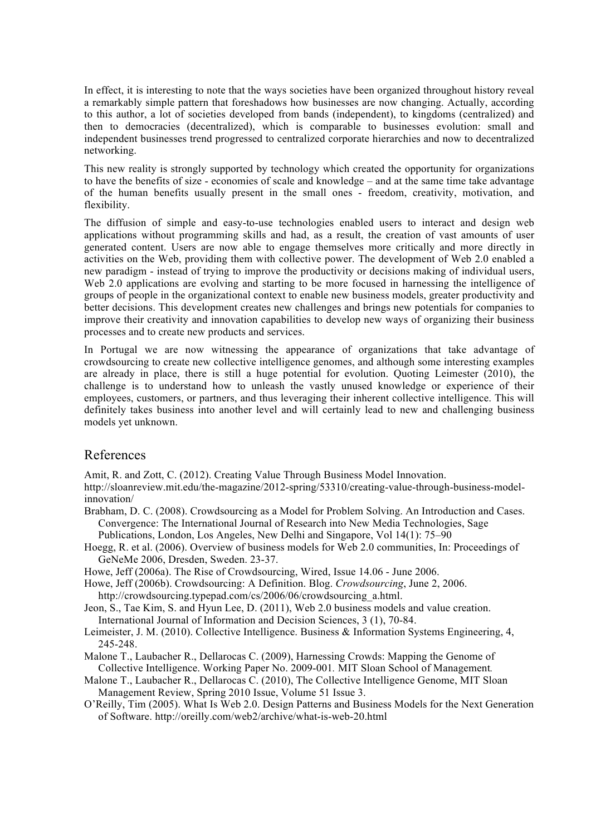In effect, it is interesting to note that the ways societies have been organized throughout history reveal a remarkably simple pattern that foreshadows how businesses are now changing. Actually, according to this author, a lot of societies developed from bands (independent), to kingdoms (centralized) and then to democracies (decentralized), which is comparable to businesses evolution: small and independent businesses trend progressed to centralized corporate hierarchies and now to decentralized networking.

This new reality is strongly supported by technology which created the opportunity for organizations to have the benefits of size - economies of scale and knowledge – and at the same time take advantage of the human benefits usually present in the small ones - freedom, creativity, motivation, and flexibility.

The diffusion of simple and easy-to-use technologies enabled users to interact and design web applications without programming skills and had, as a result, the creation of vast amounts of user generated content. Users are now able to engage themselves more critically and more directly in activities on the Web, providing them with collective power. The development of Web 2.0 enabled a new paradigm - instead of trying to improve the productivity or decisions making of individual users, Web 2.0 applications are evolving and starting to be more focused in harnessing the intelligence of groups of people in the organizational context to enable new business models, greater productivity and better decisions. This development creates new challenges and brings new potentials for companies to improve their creativity and innovation capabilities to develop new ways of organizing their business processes and to create new products and services.

In Portugal we are now witnessing the appearance of organizations that take advantage of crowdsourcing to create new collective intelligence genomes, and although some interesting examples are already in place, there is still a huge potential for evolution. Quoting Leimester (2010), the challenge is to understand how to unleash the vastly unused knowledge or experience of their employees, customers, or partners, and thus leveraging their inherent collective intelligence. This will definitely takes business into another level and will certainly lead to new and challenging business models yet unknown.

### References

Amit, R. and Zott, C. (2012). Creating Value Through Business Model Innovation.

http://sloanreview.mit.edu/the-magazine/2012-spring/53310/creating-value-through-business-modelinnovation/

- Brabham, D. C. (2008). Crowdsourcing as a Model for Problem Solving. An Introduction and Cases. Convergence: The International Journal of Research into New Media Technologies, Sage Publications, London, Los Angeles, New Delhi and Singapore, Vol 14(1): 75–90
- Hoegg, R. et al. (2006). Overview of business models for Web 2.0 communities, In: Proceedings of GeNeMe 2006, Dresden, Sweden. 23-37.
- Howe, Jeff (2006a). The Rise of Crowdsourcing, Wired, Issue 14.06 June 2006.
- Howe, Jeff (2006b). Crowdsourcing: A Definition. Blog. *Crowdsourcing*, June 2, 2006.

http://crowdsourcing.typepad.com/cs/2006/06/crowdsourcing\_a.html.

- Jeon, S., Tae Kim, S. and Hyun Lee, D. (2011), Web 2.0 business models and value creation. International Journal of Information and Decision Sciences, 3 (1), 70-84.
- Leimeister, J. M. (2010). Collective Intelligence. Business & Information Systems Engineering, 4, 245-248.
- Malone T., Laubacher R., Dellarocas C. (2009), Harnessing Crowds: Mapping the Genome of Collective Intelligence. Working Paper No. 2009-001*.* MIT Sloan School of Management*.*
- Malone T., Laubacher R., Dellarocas C. (2010), The Collective Intelligence Genome, MIT Sloan Management Review, Spring 2010 Issue, Volume 51 Issue 3.
- O'Reilly, Tim (2005). What Is Web 2.0. Design Patterns and Business Models for the Next Generation of Software. http://oreilly.com/web2/archive/what-is-web-20.html